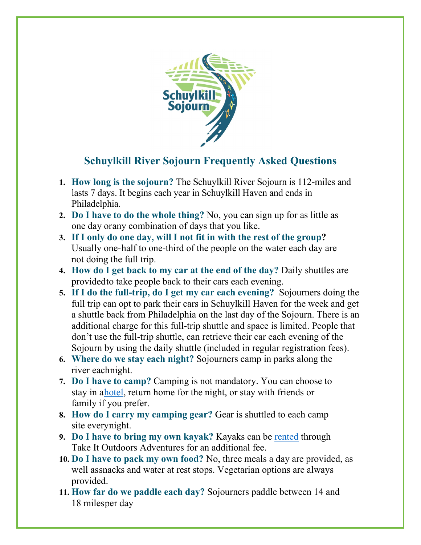

## **Schuylkill River Sojourn Frequently Asked Questions**

- **1. How long is the sojourn?** The Schuylkill River Sojourn is 112-miles and lasts 7 days. It begins each year in Schuylkill Haven and ends in Philadelphia.
- **2. Do I have to do the whole thing?** No, you can sign up for as little as one day orany combination of days that you like.
- **3. If I only do one day, will I not fit in with the rest of the group?**  Usually one-half to one-third of the people on the water each day are not doing the full trip.
- **4. How do I get back to my car at the end of the day?** Daily shuttles are providedto take people back to their cars each evening.
- **5. If I do the full-trip, do I get my car each evening?** Sojourners doing the full trip can opt to park their cars in Schuylkill Haven for the week and get a shuttle back from Philadelphia on the last day of the Sojourn. There is an additional charge for this full-trip shuttle and space is limited. People that don't use the full-trip shuttle, can retrieve their car each evening of the Sojourn by using the daily shuttle (included in regular registration fees).
- **6. Where do we stay each night?** Sojourners camp in parks along the river eachnight.
- **7. Do I have to camp?** Camping is not mandatory. You can choose to stay in [ahotel,](https://schuylkillriver.org/wp-content/uploads/2019/03/Sojourn-Lodging-Suggestions.pdf) return home for the night, or stay with friends or family if you prefer.
- **8. How do I carry my camping gear?** Gear is shuttled to each camp site everynight.
- **9. Do I have to bring my own kayak?** Kayaks can be [rented](https://tio-llc.square.site/) through Take It Outdoors Adventures for an additional fee.
- **10. Do I have to pack my own food?** No, three meals a day are provided, as well assnacks and water at rest stops. Vegetarian options are always provided.
- **11. How far do we paddle each day?** Sojourners paddle between 14 and 18 milesper day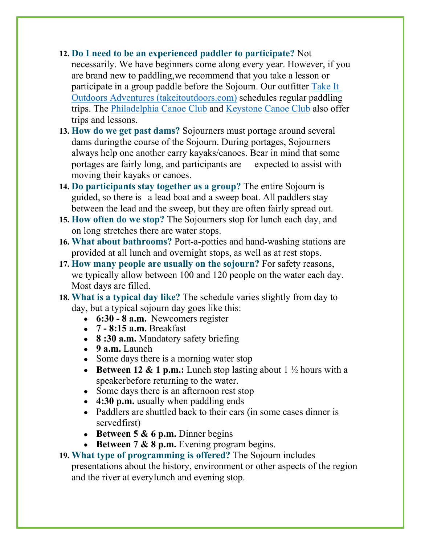## **12. Do I need to be an experienced paddler to participate?** Not

necessarily. We have beginners come along every year. However, if you are brand new to paddling,we recommend that you take a lesson or participate in a group paddle before the Sojourn. Our outfitter [Take It](http://www.takeitoutdoorsadventures.com/)  [Outdoors Adventures \(takeitoutdoors.com\)](http://www.takeitoutdoorsadventures.com/) schedules regular paddling trips. The [Philadelphia Canoe Club](http://www.philacanoe.org/) and [Keystone](http://www.keystonecanoeclub.com/) [Canoe](http://www.keystonecanoeclub.com/) Club also offer trips and lessons.

- **13. How do we get past dams?** Sojourners must portage around several dams duringthe course of the Sojourn. During portages, Sojourners always help one another carry kayaks/canoes. Bear in mind that some portages are fairly long, and participants are expected to assist with moving their kayaks or canoes.
- **14. Do participants stay together as a group?** The entire Sojourn is guided, so there is a lead boat and a sweep boat. All paddlers stay between the lead and the sweep, but they are often fairly spread out.
- **15. How often do we stop?** The Sojourners stop for lunch each day, and on long stretches there are water stops.
- **16. What about bathrooms?** Port-a-potties and hand-washing stations are provided at all lunch and overnight stops, as well as at rest stops.
- **17. How many people are usually on the sojourn?** For safety reasons, we typically allow between 100 and 120 people on the water each day. Most days are filled.
- **18. What is a typical day like?** The schedule varies slightly from day to day, but a typical sojourn day goes like this:
	- **6:30 - 8 a.m.** Newcomers register
	- **7 - 8:15 a.m.** Breakfast
	- **8 :30 a.m.** Mandatory safety briefing
	- **9 a.m.** Launch
	- Some days there is a morning water stop
	- **Between 12 & 1 p.m.:** Lunch stop lasting about 1 ½ hours with a speakerbefore returning to the water.
	- Some days there is an afternoon rest stop
	- **4:30 p.m.** usually when paddling ends
	- Paddlers are shuttled back to their cars (in some cases dinner is servedfirst)
	- **Between 5 & 6 p.m.** Dinner begins
	- **Between 7 & 8 p.m.** Evening program begins.

## **19. What type of programming is offered?** The Sojourn includes

presentations about the history, environment or other aspects of the region and the river at everylunch and evening stop.